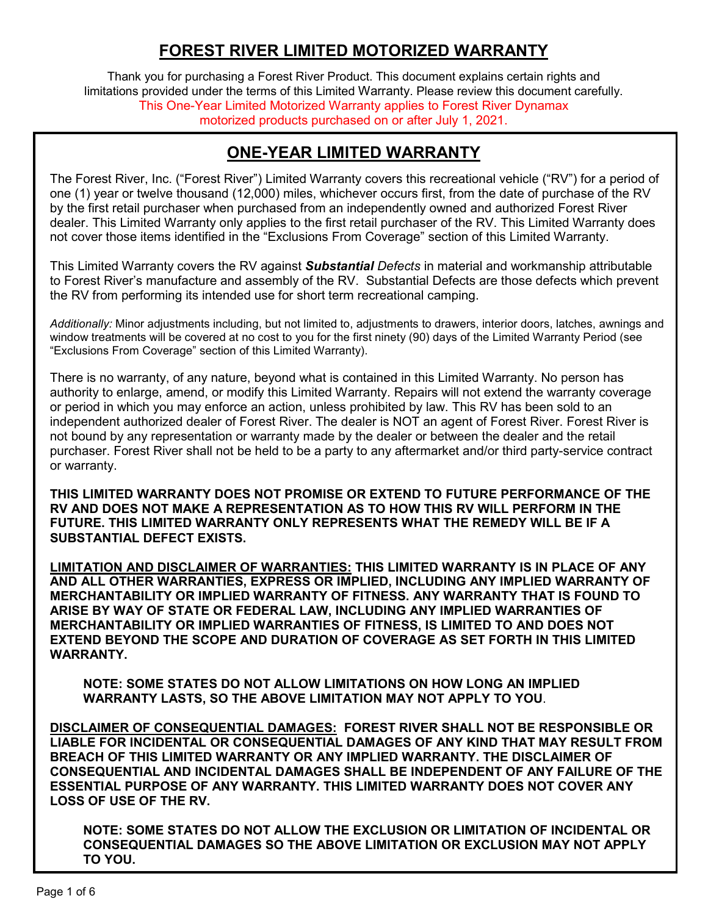## **FOREST RIVER LIMITED MOTORIZED WARRANTY**

Thank you for purchasing a Forest River Product. This document explains certain rights and limitations provided under the terms of this Limited Warranty. Please review this document carefully. This One-Year Limited Motorized Warranty applies to Forest River Dynamax motorized products purchased on or after July 1, 2021.

### **ONE-YEAR LIMITED WARRANTY**

The Forest River, Inc. ("Forest River") Limited Warranty covers this recreational vehicle ("RV") for a period of one (1) year or twelve thousand (12,000) miles, whichever occurs first, from the date of purchase of the RV by the first retail purchaser when purchased from an independently owned and authorized Forest River dealer. This Limited Warranty only applies to the first retail purchaser of the RV. This Limited Warranty does not cover those items identified in the "Exclusions From Coverage" section of this Limited Warranty.

This Limited Warranty covers the RV against *Substantial Defects* in material and workmanship attributable to Forest River's manufacture and assembly of the RV. Substantial Defects are those defects which prevent the RV from performing its intended use for short term recreational camping.

*Additionally:* Minor adjustments including, but not limited to, adjustments to drawers, interior doors, latches, awnings and window treatments will be covered at no cost to you for the first ninety (90) days of the Limited Warranty Period (see "Exclusions From Coverage" section of this Limited Warranty).

There is no warranty, of any nature, beyond what is contained in this Limited Warranty. No person has authority to enlarge, amend, or modify this Limited Warranty. Repairs will not extend the warranty coverage or period in which you may enforce an action, unless prohibited by law. This RV has been sold to an independent authorized dealer of Forest River. The dealer is NOT an agent of Forest River. Forest River is not bound by any representation or warranty made by the dealer or between the dealer and the retail purchaser. Forest River shall not be held to be a party to any aftermarket and/or third party-service contract or warranty.

**THIS LIMITED WARRANTY DOES NOT PROMISE OR EXTEND TO FUTURE PERFORMANCE OF THE RV AND DOES NOT MAKE A REPRESENTATION AS TO HOW THIS RV WILL PERFORM IN THE FUTURE. THIS LIMITED WARRANTY ONLY REPRESENTS WHAT THE REMEDY WILL BE IF A SUBSTANTIAL DEFECT EXISTS.**

**LIMITATION AND DISCLAIMER OF WARRANTIES: THIS LIMITED WARRANTY IS IN PLACE OF ANY AND ALL OTHER WARRANTIES, EXPRESS OR IMPLIED, INCLUDING ANY IMPLIED WARRANTY OF MERCHANTABILITY OR IMPLIED WARRANTY OF FITNESS. ANY WARRANTY THAT IS FOUND TO ARISE BY WAY OF STATE OR FEDERAL LAW, INCLUDING ANY IMPLIED WARRANTIES OF MERCHANTABILITY OR IMPLIED WARRANTIES OF FITNESS, IS LIMITED TO AND DOES NOT EXTEND BEYOND THE SCOPE AND DURATION OF COVERAGE AS SET FORTH IN THIS LIMITED WARRANTY.** 

**NOTE: SOME STATES DO NOT ALLOW LIMITATIONS ON HOW LONG AN IMPLIED WARRANTY LASTS, SO THE ABOVE LIMITATION MAY NOT APPLY TO YOU**.

**DISCLAIMER OF CONSEQUENTIAL DAMAGES: FOREST RIVER SHALL NOT BE RESPONSIBLE OR LIABLE FOR INCIDENTAL OR CONSEQUENTIAL DAMAGES OF ANY KIND THAT MAY RESULT FROM BREACH OF THIS LIMITED WARRANTY OR ANY IMPLIED WARRANTY. THE DISCLAIMER OF CONSEQUENTIAL AND INCIDENTAL DAMAGES SHALL BE INDEPENDENT OF ANY FAILURE OF THE ESSENTIAL PURPOSE OF ANY WARRANTY. THIS LIMITED WARRANTY DOES NOT COVER ANY LOSS OF USE OF THE RV.**

**NOTE: SOME STATES DO NOT ALLOW THE EXCLUSION OR LIMITATION OF INCIDENTAL OR CONSEQUENTIAL DAMAGES SO THE ABOVE LIMITATION OR EXCLUSION MAY NOT APPLY TO YOU.**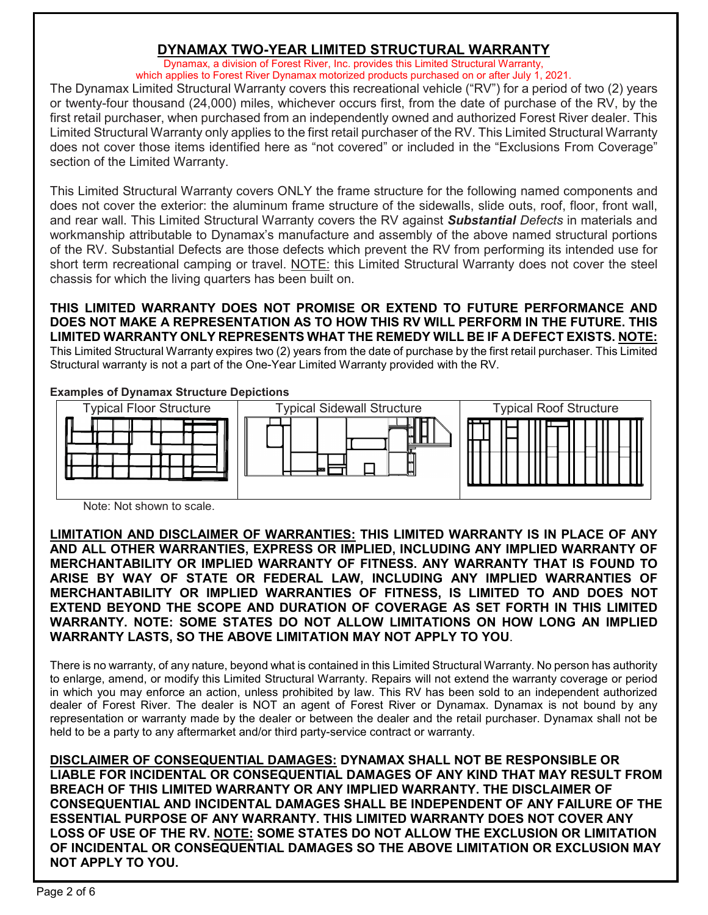#### **DYNAMAX TWO-YEAR LIMITED STRUCTURAL WARRANTY**

Dynamax, a division of Forest River, Inc. provides this Limited Structural Warranty, which applies to Forest River Dynamax motorized products purchased on or after July 1, 2021.

The Dynamax Limited Structural Warranty covers this recreational vehicle ("RV") for a period of two (2) years or twenty-four thousand (24,000) miles, whichever occurs first, from the date of purchase of the RV, by the first retail purchaser, when purchased from an independently owned and authorized Forest River dealer. This Limited Structural Warranty only applies to the first retail purchaser of the RV. This Limited Structural Warranty does not cover those items identified here as "not covered" or included in the "Exclusions From Coverage" section of the Limited Warranty.

This Limited Structural Warranty covers ONLY the frame structure for the following named components and does not cover the exterior: the aluminum frame structure of the sidewalls, slide outs, roof, floor, front wall, and rear wall. This Limited Structural Warranty covers the RV against *Substantial Defects* in materials and workmanship attributable to Dynamax's manufacture and assembly of the above named structural portions of the RV. Substantial Defects are those defects which prevent the RV from performing its intended use for short term recreational camping or travel. NOTE: this Limited Structural Warranty does not cover the steel chassis for which the living quarters has been built on.

**THIS LIMITED WARRANTY DOES NOT PROMISE OR EXTEND TO FUTURE PERFORMANCE AND DOES NOT MAKE A REPRESENTATION AS TO HOW THIS RV WILL PERFORM IN THE FUTURE. THIS LIMITED WARRANTY ONLY REPRESENTS WHAT THE REMEDY WILL BE IF A DEFECT EXISTS. NOTE:**  This Limited Structural Warranty expires two (2) years from the date of purchase by the first retail purchaser. This Limited Structural warranty is not a part of the One-Year Limited Warranty provided with the RV.

#### **Examples of Dynamax Structure Depictions**



Note: Not shown to scale.

**LIMITATION AND DISCLAIMER OF WARRANTIES: THIS LIMITED WARRANTY IS IN PLACE OF ANY AND ALL OTHER WARRANTIES, EXPRESS OR IMPLIED, INCLUDING ANY IMPLIED WARRANTY OF MERCHANTABILITY OR IMPLIED WARRANTY OF FITNESS. ANY WARRANTY THAT IS FOUND TO ARISE BY WAY OF STATE OR FEDERAL LAW, INCLUDING ANY IMPLIED WARRANTIES OF MERCHANTABILITY OR IMPLIED WARRANTIES OF FITNESS, IS LIMITED TO AND DOES NOT EXTEND BEYOND THE SCOPE AND DURATION OF COVERAGE AS SET FORTH IN THIS LIMITED WARRANTY. NOTE: SOME STATES DO NOT ALLOW LIMITATIONS ON HOW LONG AN IMPLIED WARRANTY LASTS, SO THE ABOVE LIMITATION MAY NOT APPLY TO YOU**.

There is no warranty, of any nature, beyond what is contained in this Limited Structural Warranty. No person has authority to enlarge, amend, or modify this Limited Structural Warranty. Repairs will not extend the warranty coverage or period in which you may enforce an action, unless prohibited by law. This RV has been sold to an independent authorized dealer of Forest River. The dealer is NOT an agent of Forest River or Dynamax. Dynamax is not bound by any representation or warranty made by the dealer or between the dealer and the retail purchaser. Dynamax shall not be held to be a party to any aftermarket and/or third party-service contract or warranty.

**DISCLAIMER OF CONSEQUENTIAL DAMAGES: DYNAMAX SHALL NOT BE RESPONSIBLE OR LIABLE FOR INCIDENTAL OR CONSEQUENTIAL DAMAGES OF ANY KIND THAT MAY RESULT FROM BREACH OF THIS LIMITED WARRANTY OR ANY IMPLIED WARRANTY. THE DISCLAIMER OF CONSEQUENTIAL AND INCIDENTAL DAMAGES SHALL BE INDEPENDENT OF ANY FAILURE OF THE ESSENTIAL PURPOSE OF ANY WARRANTY. THIS LIMITED WARRANTY DOES NOT COVER ANY LOSS OF USE OF THE RV. NOTE: SOME STATES DO NOT ALLOW THE EXCLUSION OR LIMITATION OF INCIDENTAL OR CONSEQUENTIAL DAMAGES SO THE ABOVE LIMITATION OR EXCLUSION MAY NOT APPLY TO YOU.**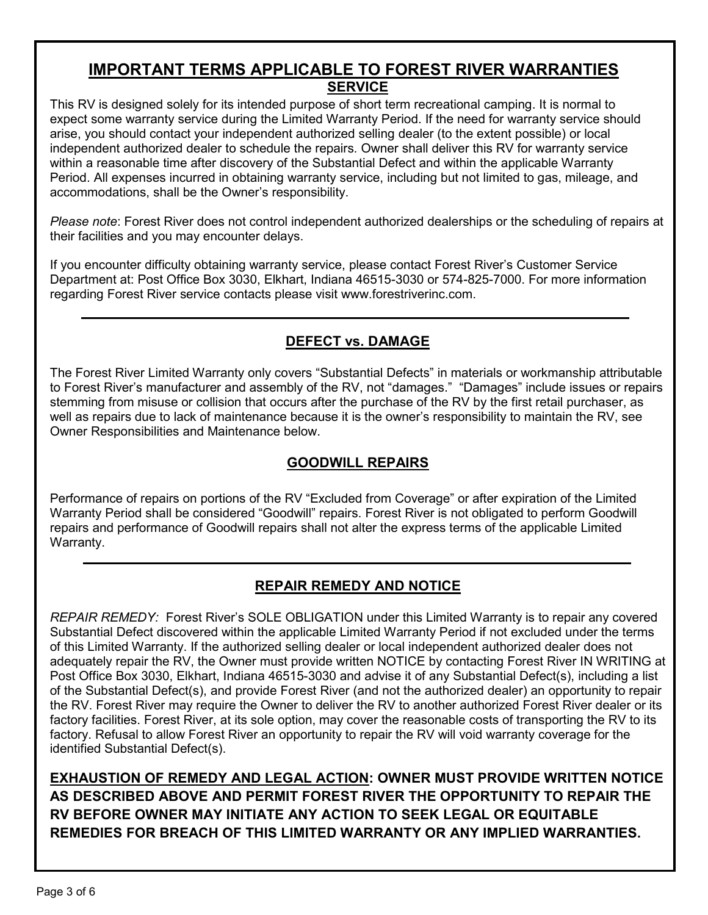#### **IMPORTANT TERMS APPLICABLE TO FOREST RIVER WARRANTIES SERVICE**

This RV is designed solely for its intended purpose of short term recreational camping. It is normal to expect some warranty service during the Limited Warranty Period. If the need for warranty service should arise, you should contact your independent authorized selling dealer (to the extent possible) or local independent authorized dealer to schedule the repairs*.* Owner shall deliver this RV for warranty service within a reasonable time after discovery of the Substantial Defect and within the applicable Warranty Period. All expenses incurred in obtaining warranty service, including but not limited to gas, mileage, and accommodations, shall be the Owner's responsibility.

*Please note*: Forest River does not control independent authorized dealerships or the scheduling of repairs at their facilities and you may encounter delays.

If you encounter difficulty obtaining warranty service, please contact Forest River's Customer Service Department at: Post Office Box 3030, Elkhart, Indiana 46515-3030 or 574-825-7000. For more information regarding Forest River service contacts please visit www.forestriverinc.com.

### **DEFECT vs. DAMAGE**

The Forest River Limited Warranty only covers "Substantial Defects" in materials or workmanship attributable to Forest River's manufacturer and assembly of the RV, not "damages." "Damages" include issues or repairs stemming from misuse or collision that occurs after the purchase of the RV by the first retail purchaser, as well as repairs due to lack of maintenance because it is the owner's responsibility to maintain the RV, see Owner Responsibilities and Maintenance below.

### **GOODWILL REPAIRS**

Performance of repairs on portions of the RV "Excluded from Coverage" or after expiration of the Limited Warranty Period shall be considered "Goodwill" repairs. Forest River is not obligated to perform Goodwill repairs and performance of Goodwill repairs shall not alter the express terms of the applicable Limited Warranty.

#### **REPAIR REMEDY AND NOTICE**

*REPAIR REMEDY:* Forest River's SOLE OBLIGATION under this Limited Warranty is to repair any covered Substantial Defect discovered within the applicable Limited Warranty Period if not excluded under the terms of this Limited Warranty. If the authorized selling dealer or local independent authorized dealer does not adequately repair the RV, the Owner must provide written NOTICE by contacting Forest River IN WRITING at Post Office Box 3030, Elkhart, Indiana 46515-3030 and advise it of any Substantial Defect(s), including a list of the Substantial Defect(s), and provide Forest River (and not the authorized dealer) an opportunity to repair the RV. Forest River may require the Owner to deliver the RV to another authorized Forest River dealer or its factory facilities. Forest River, at its sole option, may cover the reasonable costs of transporting the RV to its factory. Refusal to allow Forest River an opportunity to repair the RV will void warranty coverage for the identified Substantial Defect(s).

**EXHAUSTION OF REMEDY AND LEGAL ACTION: OWNER MUST PROVIDE WRITTEN NOTICE AS DESCRIBED ABOVE AND PERMIT FOREST RIVER THE OPPORTUNITY TO REPAIR THE RV BEFORE OWNER MAY INITIATE ANY ACTION TO SEEK LEGAL OR EQUITABLE REMEDIES FOR BREACH OF THIS LIMITED WARRANTY OR ANY IMPLIED WARRANTIES.**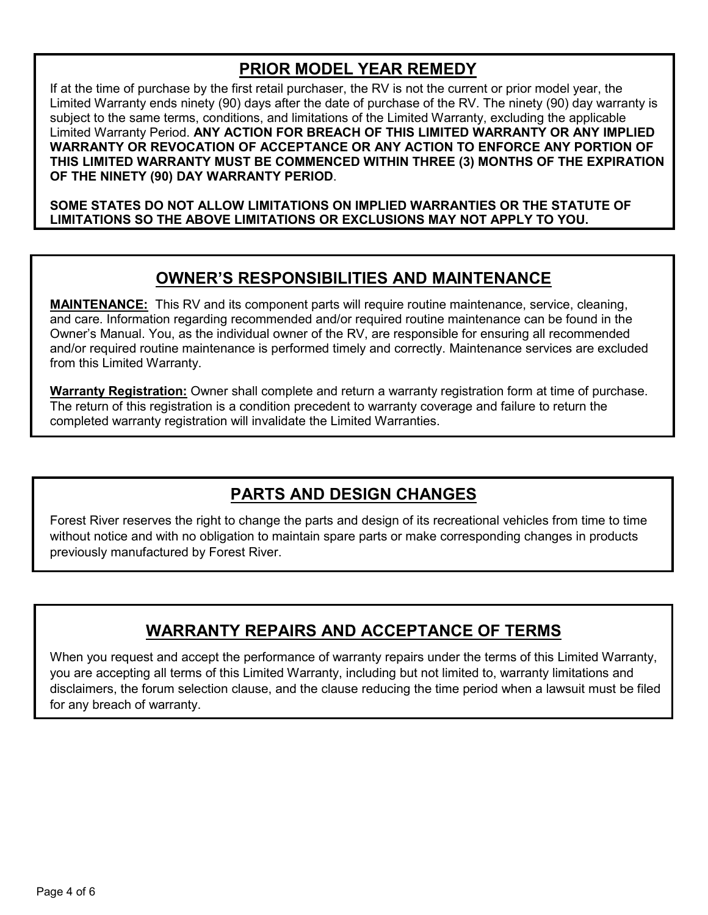### **PRIOR MODEL YEAR REMEDY**

If at the time of purchase by the first retail purchaser, the RV is not the current or prior model year, the Limited Warranty ends ninety (90) days after the date of purchase of the RV. The ninety (90) day warranty is subject to the same terms, conditions, and limitations of the Limited Warranty, excluding the applicable Limited Warranty Period. **ANY ACTION FOR BREACH OF THIS LIMITED WARRANTY OR ANY IMPLIED WARRANTY OR REVOCATION OF ACCEPTANCE OR ANY ACTION TO ENFORCE ANY PORTION OF THIS LIMITED WARRANTY MUST BE COMMENCED WITHIN THREE (3) MONTHS OF THE EXPIRATION OF THE NINETY (90) DAY WARRANTY PERIOD**.

**SOME STATES DO NOT ALLOW LIMITATIONS ON IMPLIED WARRANTIES OR THE STATUTE OF LIMITATIONS SO THE ABOVE LIMITATIONS OR EXCLUSIONS MAY NOT APPLY TO YOU.**

## **OWNER'S RESPONSIBILITIES AND MAINTENANCE**

**MAINTENANCE:** This RV and its component parts will require routine maintenance, service, cleaning, and care. Information regarding recommended and/or required routine maintenance can be found in the Owner's Manual. You, as the individual owner of the RV, are responsible for ensuring all recommended and/or required routine maintenance is performed timely and correctly. Maintenance services are excluded from this Limited Warranty.

**Warranty Registration:** Owner shall complete and return a warranty registration form at time of purchase. The return of this registration is a condition precedent to warranty coverage and failure to return the completed warranty registration will invalidate the Limited Warranties.

# **PARTS AND DESIGN CHANGES**

Forest River reserves the right to change the parts and design of its recreational vehicles from time to time without notice and with no obligation to maintain spare parts or make corresponding changes in products previously manufactured by Forest River.

# **WARRANTY REPAIRS AND ACCEPTANCE OF TERMS**

When you request and accept the performance of warranty repairs under the terms of this Limited Warranty, you are accepting all terms of this Limited Warranty, including but not limited to, warranty limitations and disclaimers, the forum selection clause, and the clause reducing the time period when a lawsuit must be filed for any breach of warranty.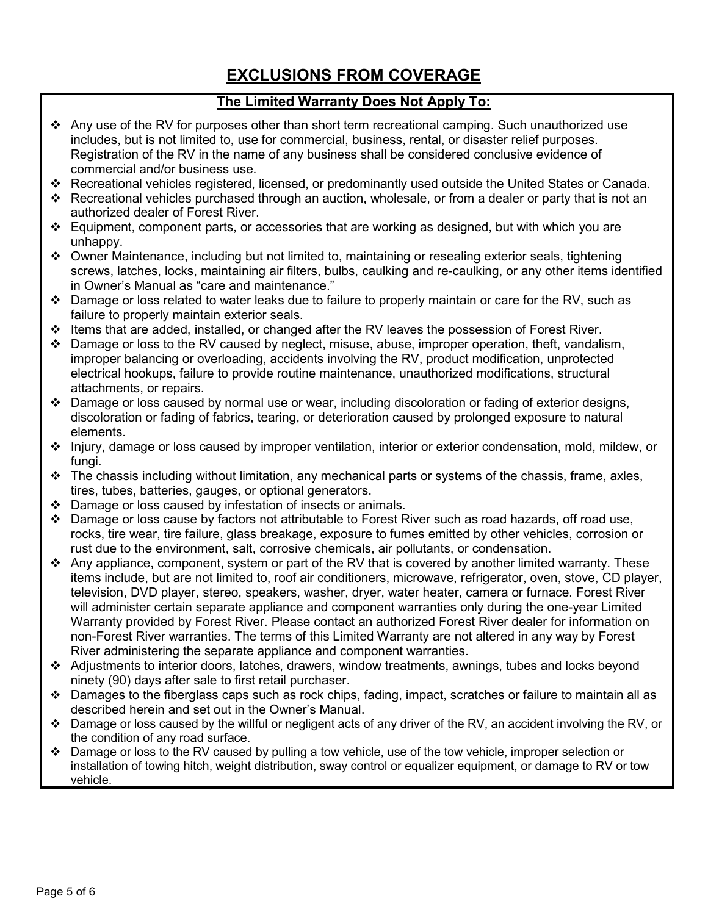## **EXCLUSIONS FROM COVERAGE**

#### **The Limited Warranty Does Not Apply To:**

- $\cdot$  Any use of the RV for purposes other than short term recreational camping. Such unauthorized use includes, but is not limited to, use for commercial, business, rental, or disaster relief purposes. Registration of the RV in the name of any business shall be considered conclusive evidence of commercial and/or business use.
- Recreational vehicles registered, licensed, or predominantly used outside the United States or Canada.
- Recreational vehicles purchased through an auction, wholesale, or from a dealer or party that is not an authorized dealer of Forest River.
- $\div$  Equipment, component parts, or accessories that are working as designed, but with which you are unhappy.
- Owner Maintenance, including but not limited to, maintaining or resealing exterior seals, tightening screws, latches, locks, maintaining air filters, bulbs, caulking and re-caulking, or any other items identified in Owner's Manual as "care and maintenance."
- $\div$  Damage or loss related to water leaks due to failure to properly maintain or care for the RV, such as failure to properly maintain exterior seals.
- Items that are added, installed, or changed after the RV leaves the possession of Forest River.
- Damage or loss to the RV caused by neglect, misuse, abuse, improper operation, theft, vandalism, improper balancing or overloading, accidents involving the RV, product modification, unprotected electrical hookups, failure to provide routine maintenance, unauthorized modifications, structural attachments, or repairs.
- $\cdot \cdot$  Damage or loss caused by normal use or wear, including discoloration or fading of exterior designs, discoloration or fading of fabrics, tearing, or deterioration caused by prolonged exposure to natural elements.
- Injury, damage or loss caused by improper ventilation, interior or exterior condensation, mold, mildew, or fungi.
- $\cdot \cdot$  The chassis including without limitation, any mechanical parts or systems of the chassis, frame, axles, tires, tubes, batteries, gauges, or optional generators.
- $\div$  Damage or loss caused by infestation of insects or animals.
- $\div$  Damage or loss cause by factors not attributable to Forest River such as road hazards, off road use, rocks, tire wear, tire failure, glass breakage, exposure to fumes emitted by other vehicles, corrosion or rust due to the environment, salt, corrosive chemicals, air pollutants, or condensation.
- Any appliance, component, system or part of the RV that is covered by another limited warranty. These items include, but are not limited to, roof air conditioners, microwave, refrigerator, oven, stove, CD player, television, DVD player, stereo, speakers, washer, dryer, water heater, camera or furnace. Forest River will administer certain separate appliance and component warranties only during the one-year Limited Warranty provided by Forest River. Please contact an authorized Forest River dealer for information on non-Forest River warranties. The terms of this Limited Warranty are not altered in any way by Forest River administering the separate appliance and component warranties.
- Adjustments to interior doors, latches, drawers, window treatments, awnings, tubes and locks beyond ninety (90) days after sale to first retail purchaser.
- Damages to the fiberglass caps such as rock chips, fading, impact, scratches or failure to maintain all as described herein and set out in the Owner's Manual.
- $\bullet$  Damage or loss caused by the willful or negligent acts of any driver of the RV, an accident involving the RV, or the condition of any road surface.
- Damage or loss to the RV caused by pulling a tow vehicle, use of the tow vehicle, improper selection or installation of towing hitch, weight distribution, sway control or equalizer equipment, or damage to RV or tow vehicle.